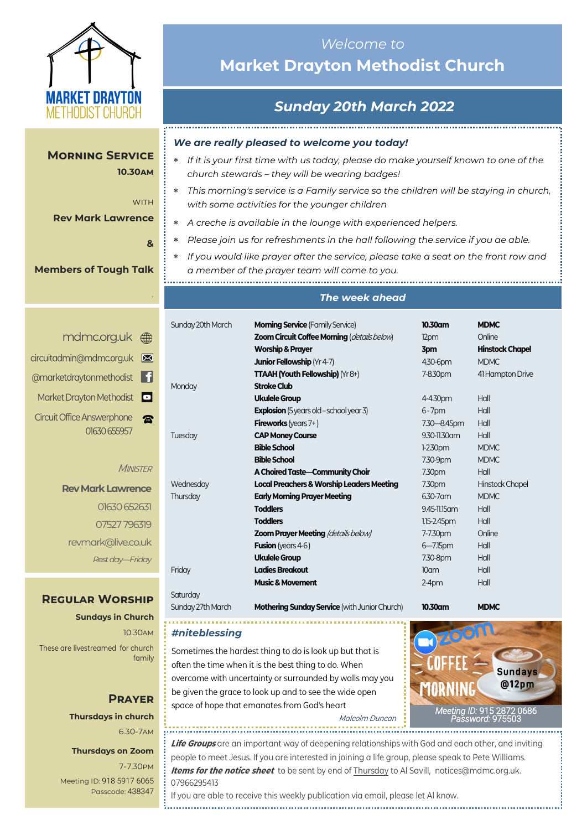

## *Welcome to*  **Market Drayton Methodist Church**

## *Sunday 20th March 2022*

*We are really pleased to welcome you today!*

- *If it is your first time with us today, please do make yourself known to one of the church stewards – they will be wearing badges!*
- *This morning's service is a Family service so the children will be staying in church, with some activities for the younger children*
- *A creche is available in the lounge with experienced helpers.*
- *Please join us for refreshments in the hall following the service if you ae able.*
- *If you would like prayer after the service, please take a seat on the front row and a member of the prayer team will come to you.*

#### *The week ahead*

|             | Sunday 20th March | <b>Morning Service</b> (Family Service)              | 10.30am          | <b>MDMC</b>            |
|-------------|-------------------|------------------------------------------------------|------------------|------------------------|
| $\bigoplus$ |                   | Zoom Circuit Coffee Morning (details below)          | 12pm             | Online                 |
|             |                   | <b>Worship &amp; Prayer</b>                          | 3pm              | <b>Hinstock Chapel</b> |
| $\boxtimes$ |                   | <b>Junior Fellowship (Yr 4-7)</b>                    | 4.30-6pm         | <b>MDMC</b>            |
| f           |                   | <b>TTAAH (Youth Fellowship)</b> (Yr 8+)              | 7-8.30pm         | 41 Hampton Drive       |
|             | Monday            | <b>Stroke Club</b>                                   |                  |                        |
| $\bullet$   |                   | <b>Ukulele Group</b>                                 | 4-4.30pm         | Hall                   |
|             |                   | <b>Explosion</b> (5 years old - school year 3)       | $6 - 7$ pm       | Hall                   |
| 雷           |                   | <b>Fireworks</b> (years $7+$ )                       | 7.30 - 8.45pm    | Hall                   |
|             | Tuesday           | <b>CAP Money Course</b>                              | 9.30-11.30 am    | Hall                   |
|             |                   | <b>Bible School</b>                                  | $1-2.30$ pm      | <b>MDMC</b>            |
|             |                   | <b>Bible School</b>                                  | 7.30-9pm         | <b>MDMC</b>            |
| ER          |                   | A Choired Taste-Community Choir                      | 7.30pm           | Hall                   |
| ce          | Wednesday         | <b>Local Preachers &amp; Worship Leaders Meeting</b> | 7.30pm           | Hinstock Chapel        |
|             | Thursday          | <b>Early Morning Prayer Meeting</b>                  | 6.30-7 am        | <b>MDMC</b>            |
| 汈           |                   | <b>Toddlers</b>                                      | 9.45-11.15 am    | Hall                   |
| 19          |                   | <b>Toddlers</b>                                      | $1.15 - 2.45$ pm | Hall                   |
|             |                   | <b>Zoom Prayer Meeting (details below)</b>           | 7-7.30pm         | Online                 |
| лk          |                   | <b>Fusion</b> (years 4-6)                            | $6 - 7.15$ pm    | Hall                   |
| lay         |                   | <b>Ukulele Group</b>                                 | 7.30-8pm         | Hall                   |
|             | Friday            | <b>Ladies Breakout</b>                               | 10 <sub>cm</sub> | Hall                   |
|             |                   | <b>Music &amp; Movement</b>                          | $2-4$ pm         | Hall                   |
| m           | Saturday          |                                                      |                  |                        |

*#niteblessing*

Sunday 27th March **Mothering Sunday Service** (with Junior Church) **10.30am MDMC**

Sometimes the hardest thing to do is look up but that is often the time when it is the best thing to do. When

space of hope that emanates from God's heart

overcome with uncertainty or surrounded by walls may you be given the grace to look up and to see the wide open

*[Meeting](https://us02web.zoom.us/j/83410523806?pwd=SmZBQmI3K3lXM1IybzNDZnhMUU5PUT09) ID:* [915 2872 0686](https://us02web.zoom.us/j/83410523806?pwd=SmZBQmI3K3lXM1IybzNDZnhMUU5PUT09)  *[Password:](https://us02web.zoom.us/j/83410523806?pwd=SmZBQmI3K3lXM1IybzNDZnhMUU5PUT09)* 975503

# **Prayer Thursdays in church**

#### **Thursdays on Zoom**

7-7.30pm [Meeting ID:](https://us04web.zoom.us/j/77138650306?fbclid=IwAR1B778-w3GWZgDnAqUFq-X6hXjzASNTsZuRIt4kZ4Cpyur_3CO2EGlBBwY#success) 918 5917 6065 Passcode: 438347

**Life Groups** are an important way of deepening relationships with God and each other, and inviting people to meet Jesus. If you are interested in joining a life group, please speak to Pete Williams. **Items for the notice sheet** to be sent by end of Thursday to Al Savill, notices@mdmc.org.uk. 07966295413

Malcolm Duncan

If you are able to receive this weekly publication via email, please let Al know.

**Morning Service 10.30am**

#### **Rev Mark Lawrence**

**WITH** 

**&** 

*.*

#### **Members of Tough Talk**

|              | mdmc.org.uk (                     |
|--------------|-----------------------------------|
|              | circuitadmin@mdmc.org.uk          |
|              | @marketdraytonmethodist           |
|              | Market Drayton Methodist          |
| ź            | <b>Circuit Office Answerphone</b> |
| 01630 655957 |                                   |

#### **MINIST**

**Rev Mark Lawren** 01630 6526 07527 7963 revmark@live.co.uk *Rest day—Friday*

#### **Regular Worship**

**Sundays in Church** 10.30am These are livestreamed for church family

# 6.30-7am